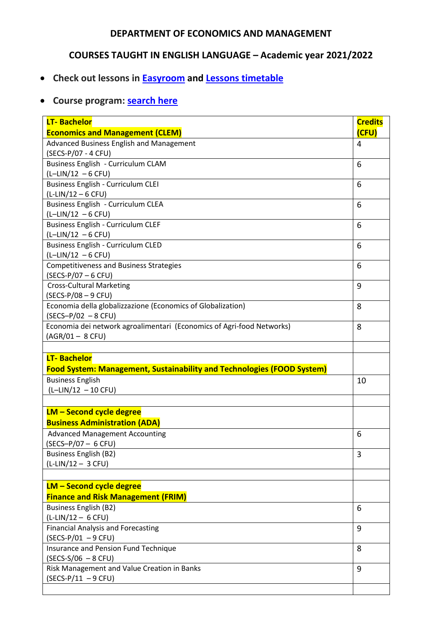## **DEPARTMENT OF ECONOMICS AND MANAGEMENT**

## **COURSES TAUGHT IN ENGLISH LANGUAGE – Academic year 2021/2022**

- **Check out lessons in [Easyroom](http://easyroom.unipr.it/index.php) and [Lessons timetable](https://sea.unipr.it/it/didattica/orario-delle-lezioni)**
- **Course program: [search here](https://www.unipr.it/node/9712)**

| <b>LT-Bachelor</b><br><b>Economics and Management (CLEM)</b>                                             | <b>Credits</b><br>(CFU) |
|----------------------------------------------------------------------------------------------------------|-------------------------|
| Advanced Business English and Management                                                                 | 4                       |
| (SECS-P/07 - 4 CFU)                                                                                      |                         |
| Business English - Curriculum CLAM                                                                       | 6                       |
| $(L-LIN/12 - 6 CFU)$                                                                                     |                         |
| Business English - Curriculum CLEI                                                                       | 6                       |
| $(L-LIN/12 - 6 CFU)$                                                                                     |                         |
| Business English - Curriculum CLEA<br>$(L-LIN/12 - 6 CFU)$                                               | 6                       |
| Business English - Curriculum CLEF                                                                       | 6                       |
| $(L-LIN/12 - 6 CFU)$                                                                                     |                         |
| Business English - Curriculum CLED                                                                       | 6                       |
| $(L-LIN/12 - 6 CFU)$                                                                                     |                         |
| <b>Competitiveness and Business Strategies</b>                                                           | 6                       |
| $(SECS-P/07 - 6 CFU)$                                                                                    |                         |
| <b>Cross-Cultural Marketing</b>                                                                          | 9                       |
| $(SECS-P/08 - 9 CFU)$                                                                                    |                         |
| Economia della globalizzazione (Economics of Globalization)                                              | 8                       |
| $(SECS-P/02 - 8 CFU)$                                                                                    |                         |
| Economia dei network agroalimentari (Economics of Agri-food Networks)                                    | 8                       |
|                                                                                                          |                         |
| $(AGR/01 - 8 CFU)$<br><b>LT-Bachelor</b>                                                                 |                         |
| <b>Food System: Management, Sustainability and Technologies (FOOD System)</b><br><b>Business English</b> | 10                      |
| $(L-LIN/12 - 10 CFU)$                                                                                    |                         |
| <b>LM - Second cycle degree</b>                                                                          |                         |
| <b>Business Administration (ADA)</b>                                                                     |                         |
| <b>Advanced Management Accounting</b>                                                                    | 6                       |
| $(SECS-P/07 - 6 CFU)$                                                                                    |                         |
| <b>Business English (B2)</b>                                                                             | 3                       |
| $(L-LIN/12 - 3 CFU)$                                                                                     |                         |
|                                                                                                          |                         |
| <b>LM - Second cycle degree</b><br><b>Finance and Risk Management (FRIM)</b>                             |                         |
| <b>Business English (B2)</b>                                                                             | 6                       |
| $(L-LIN/12 - 6 CFU)$                                                                                     |                         |
| <b>Financial Analysis and Forecasting</b>                                                                | 9                       |
| $(SECS-P/01 - 9 CFU)$                                                                                    |                         |
| Insurance and Pension Fund Technique                                                                     | 8                       |
| $(SECS-S/06 - 8 CFU)$                                                                                    |                         |
| Risk Management and Value Creation in Banks<br>$(SECS-P/11 - 9 CFU)$                                     | 9                       |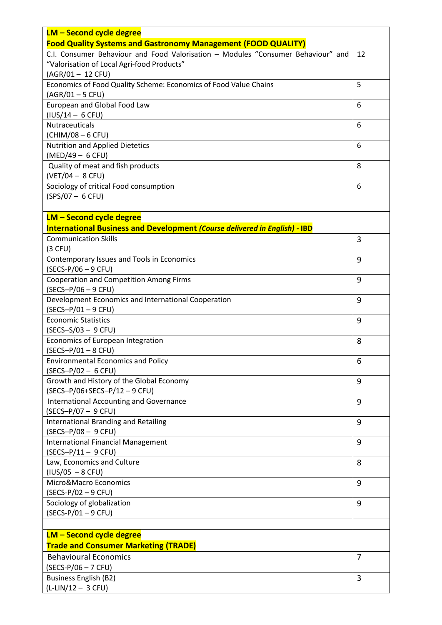| <b>LM - Second cycle degree</b>                                                                                                                   |                |
|---------------------------------------------------------------------------------------------------------------------------------------------------|----------------|
| <b>Food Quality Systems and Gastronomy Management (FOOD QUALITY)</b>                                                                              |                |
| C.I. Consumer Behaviour and Food Valorisation - Modules "Consumer Behaviour" and<br>"Valorisation of Local Agri-food Products"<br>(AGR/01-12 CFU) | 12             |
| Economics of Food Quality Scheme: Economics of Food Value Chains                                                                                  | 5              |
| $(AGR/01 - 5 CFU)$<br>European and Global Food Law                                                                                                | 6              |
| $(IVS/14 - 6 CFU)$<br>Nutraceuticals                                                                                                              | 6              |
| (CHIM/08 - 6 CFU)                                                                                                                                 |                |
| Nutrition and Applied Dietetics<br>(MED/49 - 6 CFU)                                                                                               | 6              |
| Quality of meat and fish products<br>$(VET/04 - 8 CFU)$                                                                                           | 8              |
| Sociology of critical Food consumption                                                                                                            | 6              |
| $(SPS/07 - 6 CFU)$                                                                                                                                |                |
| <b>LM - Second cycle degree</b>                                                                                                                   |                |
| International Business and Development (Course delivered in English) - IBD                                                                        |                |
| <b>Communication Skills</b><br>$(3$ CFU)                                                                                                          | 3              |
| Contemporary Issues and Tools in Economics<br>$(SECS-P/06 - 9 CFU)$                                                                               | 9              |
| <b>Cooperation and Competition Among Firms</b><br>$(SECS-P/06 - 9 CFU)$                                                                           | 9              |
| Development Economics and International Cooperation                                                                                               | 9              |
| $(SECS-P/01 - 9 CFU)$<br><b>Economic Statistics</b>                                                                                               | 9              |
| $(SECS - S/03 - 9 CFU)$<br>Economics of European Integration                                                                                      | 8              |
| $(SECS-P/01 - 8 CFU)$                                                                                                                             |                |
| <b>Environmental Economics and Policy</b><br>$(SECS-P/02 - 6 CFU)$                                                                                | 6              |
| Growth and History of the Global Economy                                                                                                          | 9              |
| (SECS-P/06+SECS-P/12-9 CFU)<br><b>International Accounting and Governance</b>                                                                     | 9              |
| $(SECS-P/07 - 9 CFU)$                                                                                                                             |                |
| <b>International Branding and Retailing</b><br>$(SECS-P/08 - 9 CFU)$                                                                              | 9              |
| <b>International Financial Management</b><br>$(SECS-P/11 - 9 CFU)$                                                                                | 9              |
| Law, Economics and Culture<br>$(IVS/O5 - 8 CFU)$                                                                                                  | 8              |
| Micro&Macro Economics                                                                                                                             | 9              |
| $(SECS-P/02 - 9 CFU)$                                                                                                                             |                |
| Sociology of globalization<br>$(SECS-P/01 - 9 CFU)$                                                                                               | 9              |
|                                                                                                                                                   |                |
| <b>LM - Second cycle degree</b><br><b>Trade and Consumer Marketing (TRADE)</b>                                                                    |                |
| <b>Behavioural Economics</b>                                                                                                                      | $\overline{7}$ |
| $(SECS-P/06 - 7 CFU)$                                                                                                                             |                |
| <b>Business English (B2)</b>                                                                                                                      | 3              |
| $(L-LIN/12 - 3 CFU)$                                                                                                                              |                |